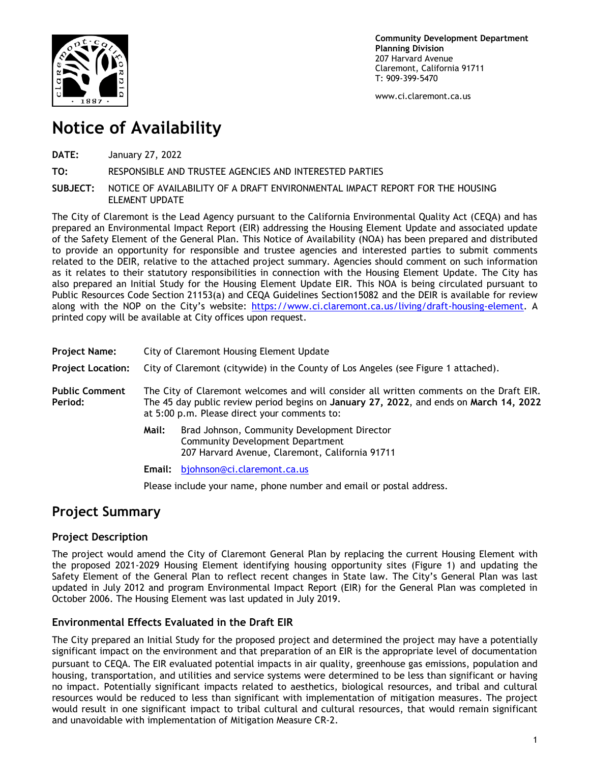

**Community Development Department Planning Division** 207 Harvard Avenue Claremont, California 91711 T: 909-399-5470

www.ci.claremont.ca.us

## **Notice of Availability**

**DATE:** January 27, 2022

**TO:** RESPONSIBLE AND TRUSTEE AGENCIES AND INTERESTED PARTIES

**SUBJECT:** NOTICE OF AVAILABILITY OF A DRAFT ENVIRONMENTAL IMPACT REPORT FOR THE HOUSING ELEMENT UPDATE

The City of Claremont is the Lead Agency pursuant to the California Environmental Quality Act (CEQA) and has prepared an Environmental Impact Report (EIR) addressing the Housing Element Update and associated update of the Safety Element of the General Plan. This Notice of Availability (NOA) has been prepared and distributed to provide an opportunity for responsible and trustee agencies and interested parties to submit comments related to the DEIR, relative to the attached project summary. Agencies should comment on such information as it relates to their statutory responsibilities in connection with the Housing Element Update. The City has also prepared an Initial Study for the Housing Element Update EIR. This NOA is being circulated pursuant to Public Resources Code Section 21153(a) and CEQA Guidelines Section15082 and the DEIR is available for review along with the NOP on the City's website: [https://www.ci.claremont.ca.us/living/draft-housing-element.](https://www.ci.claremont.ca.us/living/draft-housing-element) A printed copy will be available at City offices upon request.

| <b>Project Name:</b>             | City of Claremont Housing Element Update                                                                                                                                                                                          |                                                                                                                                     |
|----------------------------------|-----------------------------------------------------------------------------------------------------------------------------------------------------------------------------------------------------------------------------------|-------------------------------------------------------------------------------------------------------------------------------------|
| <b>Project Location:</b>         | City of Claremont (citywide) in the County of Los Angeles (see Figure 1 attached).                                                                                                                                                |                                                                                                                                     |
| <b>Public Comment</b><br>Period: | The City of Claremont welcomes and will consider all written comments on the Draft EIR.<br>The 45 day public review period begins on January 27, 2022, and ends on March 14, 2022<br>at 5:00 p.m. Please direct your comments to: |                                                                                                                                     |
|                                  | Mail:                                                                                                                                                                                                                             | Brad Johnson, Community Development Director<br>Community Development Department<br>207 Harvard Avenue, Claremont, California 91711 |
|                                  | Email:                                                                                                                                                                                                                            | bjohnson@ci.claremont.ca.us                                                                                                         |

Please include your name, phone number and email or postal address.

## **Project Summary**

## **Project Description**

The project would amend the City of Claremont General Plan by replacing the current Housing Element with the proposed 2021-2029 Housing Element identifying housing opportunity sites (Figure 1) and updating the Safety Element of the General Plan to reflect recent changes in State law. The City's General Plan was last updated in July 2012 and program Environmental Impact Report (EIR) for the General Plan was completed in October 2006. The Housing Element was last updated in July 2019.

## **Environmental Effects Evaluated in the Draft EIR**

The City prepared an Initial Study for the proposed project and determined the project may have a potentially significant impact on the environment and that preparation of an EIR is the appropriate level of documentation pursuant to CEQA. The EIR evaluated potential impacts in air quality, greenhouse gas emissions, population and housing, transportation, and utilities and service systems were determined to be less than significant or having no impact. Potentially significant impacts related to aesthetics, biological resources, and tribal and cultural resources would be reduced to less than significant with implementation of mitigation measures. The project would result in one significant impact to tribal cultural and cultural resources, that would remain significant and unavoidable with implementation of Mitigation Measure CR-2.